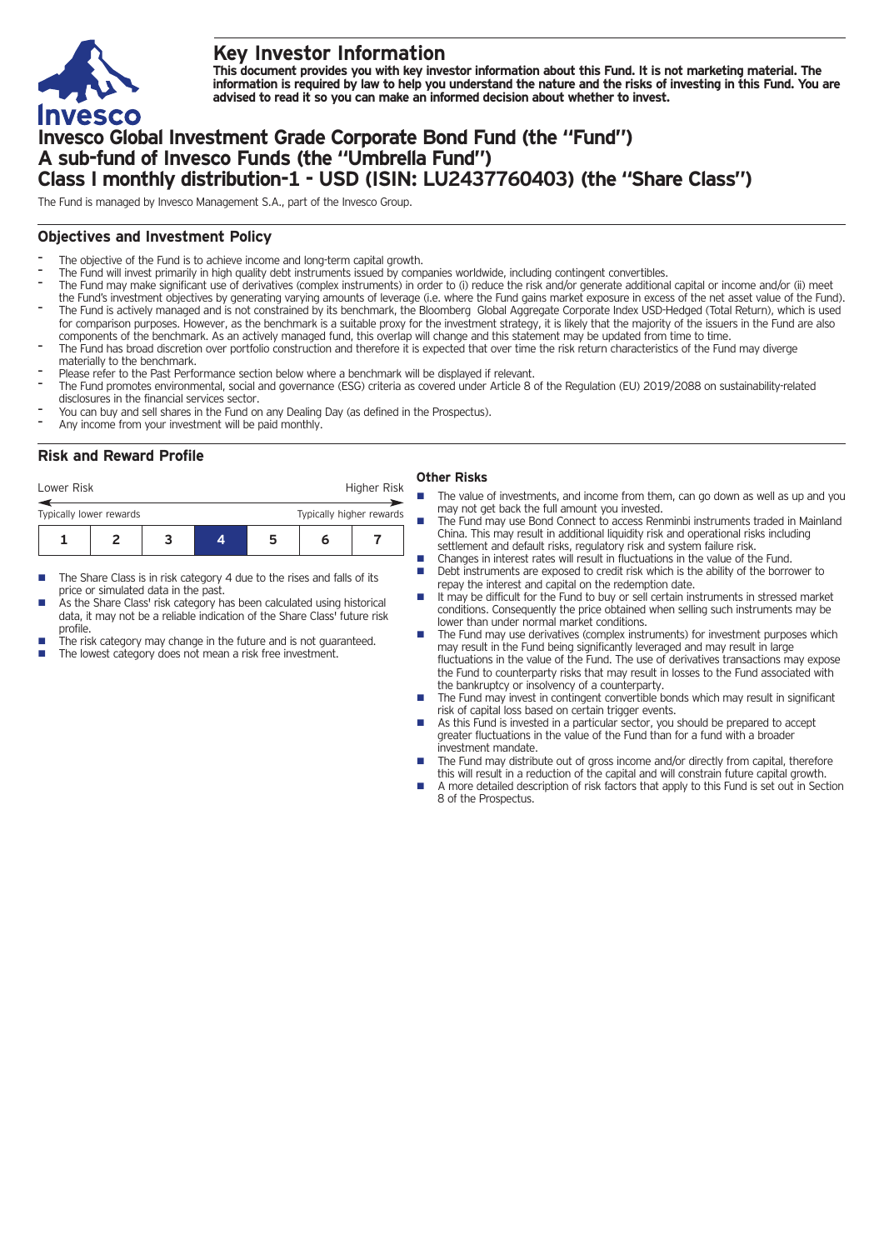

# **Key Investor Information**

This document provides you with key investor information about this Fund. It is not marketing material. The information is required by law to help you understand the nature and the risks of investing in this Fund. You are **advised to read it so you can make an informed decision about whether to invest.**

## **Invesco Global Investment Grade Corporate Bond Fund (the "Fund") A sub-fund of Invesco Funds (the "Umbrella Fund") Class I monthly distribution-1 - USD (ISIN: LU2437760403) (the "Share Class")**

The Fund is managed by Invesco Management S.A., part of the Invesco Group.

## **Objectives and Investment Policy**

- The objective of the Fund is to achieve income and long-term capital growth.
- The Fund will invest primarily in high quality debt instruments issued by companies worldwide, including contingent convertibles.
- The Fund may make significant use of derivatives (complex instruments) in order to (i) reduce the risk and/or generate additional capital or income and/or (ii) meet the Fund's investment objectives by generating varying amounts of leverage (i.e. where the Fund gains market exposure in excess of the net asset value of the Fund). The Fund is actively managed and is not constrained by its benchmark, the Bloomberg Global Aggregate Corporate Index USD-Hedged (Total Return), which is used for comparison purposes. However, as the benchmark is a suitable proxy for the investment strategy, it is likely that the majority of the issuers in the Fund are also
- components of the benchmark. As an actively managed fund, this overlap will change and this statement may be updated from time to time.
- The Fund has broad discretion over portfolio construction and therefore it is expected that over time the risk return characteristics of the Fund may diverge materially to the benchmark.
- Please refer to the Past Performance section below where a benchmark will be displayed if relevant.
- The Fund promotes environmental, social and governance (ESG) criteria as covered under Article 8 of the Regulation (EU) 2019/2088 on sustainability-related disclosures in the financial services sector.
- You can buy and sell shares in the Fund on any Dealing Day (as defined in the Prospectus).
- Any income from your investment will be paid monthly.

### **Risk and Reward Profile**

| Lower Risk                                          |  |  |  |  | Higher Risk |  |
|-----------------------------------------------------|--|--|--|--|-------------|--|
| Typically higher rewards<br>Typically lower rewards |  |  |  |  |             |  |
|                                                     |  |  |  |  |             |  |

- The Share Class is in risk category 4 due to the rises and falls of its price or simulated data in the past.
- As the Share Class' risk category has been calculated using historical data, it may not be a reliable indication of the Share Class' future risk profile.
- The risk category may change in the future and is not guaranteed.
- The lowest category does not mean a risk free investment.

#### **Other Risks**

- The value of investments, and income from them, can go down as well as up and you may not get back the full amount you invested.
- The Fund may use Bond Connect to access Renminbi instruments traded in Mainland China. This may result in additional liquidity risk and operational risks including settlement and default risks, regulatory risk and system failure risk.
- n Changes in interest rates will result in fluctuations in the value of the Fund.
- n Debt instruments are exposed to credit risk which is the ability of the borrower to repay the interest and capital on the redemption date.
- n It may be difficult for the Fund to buy or sell certain instruments in stressed market conditions. Consequently the price obtained when selling such instruments may be lower than under normal market conditions.
- n The Fund may use derivatives (complex instruments) for investment purposes which may result in the Fund being significantly leveraged and may result in large fluctuations in the value of the Fund. The use of derivatives transactions may expose the Fund to counterparty risks that may result in losses to the Fund associated with the bankruptcy or insolvency of a counterparty.
- The Fund may invest in contingent convertible bonds which may result in significant risk of capital loss based on certain trigger events.
- As this Fund is invested in a particular sector, you should be prepared to accept greater fluctuations in the value of the Fund than for a fund with a broader investment mandate.
- The Fund may distribute out of gross income and/or directly from capital, therefore this will result in a reduction of the capital and will constrain future capital growth.
- A more detailed description of risk factors that apply to this Fund is set out in Section 8 of the Prospectus.